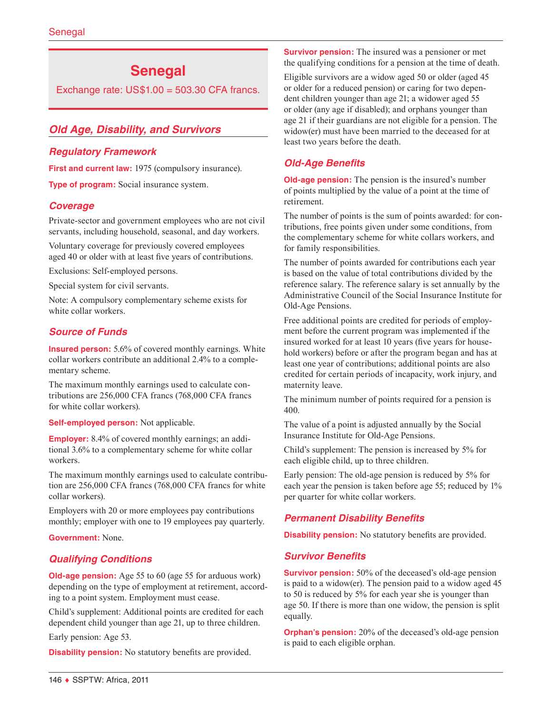# **Senegal**

Exchange rate:  $US$1.00 = 503.30$  CFA francs.

# *Old Age, Disability, and Survivors*

#### *Regulatory Framework*

First and current law: 1975 (compulsory insurance).

**Type of program:** Social insurance system.

#### *Coverage*

Private-sector and government employees who are not civil servants, including household, seasonal, and day workers.

Voluntary coverage for previously covered employees aged 40 or older with at least five years of contributions.

Exclusions: Self-employed persons.

Special system for civil servants.

Note: A compulsory complementary scheme exists for white collar workers.

#### *Source of Funds*

**Insured person:** 5.6% of covered monthly earnings. White collar workers contribute an additional 2.4% to a complementary scheme.

The maximum monthly earnings used to calculate contributions are 256,000 CFA francs (768,000 CFA francs for white collar workers).

**Self-employed person:** Not applicable.

**Employer:** 8.4% of covered monthly earnings; an additional 3.6% to a complementary scheme for white collar workers.

The maximum monthly earnings used to calculate contribution are 256,000 CFA francs (768,000 CFA francs for white collar workers).

Employers with 20 or more employees pay contributions monthly; employer with one to 19 employees pay quarterly.

**Government:** None.

#### *Qualifying Conditions*

**Old-age pension:** Age 55 to 60 (age 55 for arduous work) depending on the type of employment at retirement, according to a point system. Employment must cease.

Child's supplement: Additional points are credited for each dependent child younger than age 21, up to three children.

Early pension: Age 53.

**Disability pension:** No statutory benefits are provided.

**Survivor pension:** The insured was a pensioner or met the qualifying conditions for a pension at the time of death.

Eligible survivors are a widow aged 50 or older (aged 45 or older for a reduced pension) or caring for two dependent children younger than age 21; a widower aged 55 or older (any age if disabled); and orphans younger than age 21 if their guardians are not eligible for a pension. The widow(er) must have been married to the deceased for at least two years before the death.

#### *Old-Age Benefits*

**Old-age pension:** The pension is the insured's number of points multiplied by the value of a point at the time of retirement.

The number of points is the sum of points awarded: for contributions, free points given under some conditions, from the complementary scheme for white collars workers, and for family responsibilities.

The number of points awarded for contributions each year is based on the value of total contributions divided by the reference salary. The reference salary is set annually by the Administrative Council of the Social Insurance Institute for Old-Age Pensions.

Free additional points are credited for periods of employment before the current program was implemented if the insured worked for at least 10 years (five years for household workers) before or after the program began and has at least one year of contributions; additional points are also credited for certain periods of incapacity, work injury, and maternity leave.

The minimum number of points required for a pension is 400.

The value of a point is adjusted annually by the Social Insurance Institute for Old-Age Pensions.

Child's supplement: The pension is increased by 5% for each eligible child, up to three children.

Early pension: The old-age pension is reduced by 5% for each year the pension is taken before age 55; reduced by  $1\%$ per quarter for white collar workers.

#### *Permanent Disability Benefits*

**Disability pension:** No statutory benefits are provided.

#### *Survivor Benefits*

**Survivor pension:** 50% of the deceased's old-age pension is paid to a widow(er). The pension paid to a widow aged 45 to 50 is reduced by 5% for each year she is younger than age 50. If there is more than one widow, the pension is split equally.

**Orphan's pension:** 20% of the deceased's old-age pension is paid to each eligible orphan.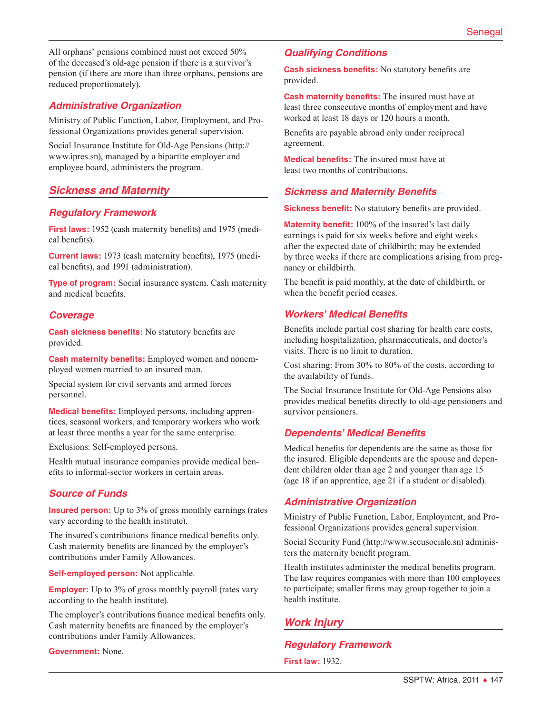All orphans' pensions combined must not exceed 50% of the deceased's old-age pension if there is a survivor's pension (if there are more than three orphans, pensions are reduced proportionately).

#### *Administrative Organization*

Ministry of Public Function, Labor, Employment, and Professional Organizations provides general supervision.

Social Insurance Institute for Old-Age Pensions ([http://](http://www.ipres.sn) [www.ipres.sn\)](http://www.ipres.sn), managed by a bipartite employer and employee board, administers the program.

# *Sickness and Maternity*

#### *Regulatory Framework*

**First laws:** 1952 (cash maternity benefits) and 1975 (medical benefits).

**Current laws:** 1973 (cash maternity benefits), 1975 (medical benefits), and 1991 (administration).

**Type of program:** Social insurance system. Cash maternity and medical benefits.

#### *Coverage*

**Cash sickness benefits:** No statutory benefits are provided.

**Cash maternity benefits:** Employed women and nonemployed women married to an insured man.

Special system for civil servants and armed forces personnel.

**Medical benefits:** Employed persons, including apprentices, seasonal workers, and temporary workers who work at least three months a year for the same enterprise.

Exclusions: Self-employed persons.

Health mutual insurance companies provide medical benefits to informal-sector workers in certain areas.

# *Source of Funds*

**Insured person:** Up to 3% of gross monthly earnings (rates vary according to the health institute).

The insured's contributions finance medical benefits only. Cash maternity benefits are financed by the employer's contributions under Family Allowances.

**Self-employed person:** Not applicable.

**Employer:** Up to 3% of gross monthly payroll (rates vary according to the health institute).

The employer's contributions finance medical benefits only. Cash maternity benefits are financed by the employer's contributions under Family Allowances.

**Government:** None.

### *Qualifying Conditions*

**Cash sickness benefits:** No statutory benefits are provided.

**Cash maternity benefits:** The insured must have at least three consecutive months of employment and have worked at least 18 days or 120 hours a month.

Benefits are payable abroad only under reciprocal agreement.

**Medical benefits:** The insured must have at least two months of contributions.

# *Sickness and Maternity Benefits*

**Sickness benefit:** No statutory benefits are provided.

**Maternity benefit:** 100% of the insured's last daily earnings is paid for six weeks before and eight weeks after the expected date of childbirth; may be extended by three weeks if there are complications arising from pregnancy or childbirth.

The benefit is paid monthly, at the date of childbirth, or when the benefit period ceases.

#### *Workers' Medical Benefits*

Benefits include partial cost sharing for health care costs, including hospitalization, pharmaceuticals, and doctor's visits. There is no limit to duration.

Cost sharing: From 30% to 80% of the costs, according to the availability of funds.

The Social Insurance Institute for Old-Age Pensions also provides medical benefits directly to old-age pensioners and survivor pensioners.

#### *Dependents' Medical Benefits*

Medical benefits for dependents are the same as those for the insured. Eligible dependents are the spouse and dependent children older than age 2 and younger than age 15 (age 18 if an apprentice, age 21 if a student or disabled).

#### *Administrative Organization*

Ministry of Public Function, Labor, Employment, and Professional Organizations provides general supervision.

Social Security Fund [\(http://www.secusociale.sn](http://www.secusociale.sn)) administers the maternity benefit program.

Health institutes administer the medical benefits program. The law requires companies with more than 100 employees to participate; smaller firms may group together to join a health institute.

# *Work Injury*

#### *Regulatory Framework*

**First law:** 1932.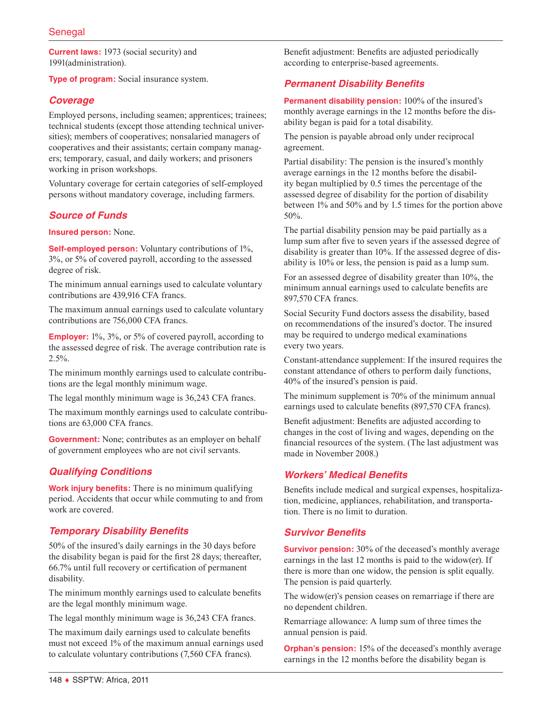**Current laws:** 1973 (social security) and 1991(administration).

**Type of program:** Social insurance system.

# *Coverage*

Employed persons, including seamen; apprentices; trainees; technical students (except those attending technical universities); members of cooperatives; nonsalaried managers of cooperatives and their assistants; certain company managers; temporary, casual, and daily workers; and prisoners working in prison workshops.

Voluntary coverage for certain categories of self-employed persons without mandatory coverage, including farmers.

# *Source of Funds*

**Insured person:** None.

**Self-employed person:** Voluntary contributions of 1%, 3%, or 5% of covered payroll, according to the assessed degree of risk.

The minimum annual earnings used to calculate voluntary contributions are 439,916 CFA francs.

The maximum annual earnings used to calculate voluntary contributions are 756,000 CFA francs.

**Employer:** 1%, 3%, or 5% of covered payroll, according to the assessed degree of risk. The average contribution rate is  $2.5\%$ .

The minimum monthly earnings used to calculate contributions are the legal monthly minimum wage.

The legal monthly minimum wage is 36,243 CFA francs.

The maximum monthly earnings used to calculate contributions are 63,000 CFA francs.

**Government:** None; contributes as an employer on behalf of government employees who are not civil servants.

# *Qualifying Conditions*

**Work injury benefits:** There is no minimum qualifying period. Accidents that occur while commuting to and from work are covered.

#### *Temporary Disability Benefits*

50% of the insured's daily earnings in the 30 days before the disability began is paid for the first 28 days; thereafter, 66.7% until full recovery or certification of permanent disability.

The minimum monthly earnings used to calculate benefits are the legal monthly minimum wage.

The legal monthly minimum wage is 36,243 CFA francs.

The maximum daily earnings used to calculate benefits must not exceed 1% of the maximum annual earnings used to calculate voluntary contributions (7,560 CFA francs).

Benefit adjustment: Benefits are adjusted periodically according to enterprise-based agreements.

# *Permanent Disability Benefits*

**Permanent disability pension:** 100% of the insured's monthly average earnings in the 12 months before the disability began is paid for a total disability.

The pension is payable abroad only under reciprocal agreement.

Partial disability: The pension is the insured's monthly average earnings in the 12 months before the disability began multiplied by 0.5 times the percentage of the assessed degree of disability for the portion of disability between 1% and 50% and by 1.5 times for the portion above 50%.

The partial disability pension may be paid partially as a lump sum after five to seven years if the assessed degree of disability is greater than 10%. If the assessed degree of disability is 10% or less, the pension is paid as a lump sum.

For an assessed degree of disability greater than 10%, the minimum annual earnings used to calculate benefits are 897,570 CFA francs.

Social Security Fund doctors assess the disability, based on recommendations of the insured's doctor. The insured may be required to undergo medical examinations every two years.

Constant-attendance supplement: If the insured requires the constant attendance of others to perform daily functions, 40% of the insured's pension is paid.

The minimum supplement is 70% of the minimum annual earnings used to calculate benefits (897,570 CFA francs).

Benefit adjustment: Benefits are adjusted according to changes in the cost of living and wages, depending on the financial resources of the system. (The last adjustment was made in November 2008.)

#### *Workers' Medical Benefits*

Benefits include medical and surgical expenses, hospitalization, medicine, appliances, rehabilitation, and transportation. There is no limit to duration.

#### *Survivor Benefits*

**Survivor pension:** 30% of the deceased's monthly average earnings in the last 12 months is paid to the widow(er). If there is more than one widow, the pension is split equally. The pension is paid quarterly.

The widow(er)'s pension ceases on remarriage if there are no dependent children.

Remarriage allowance: A lump sum of three times the annual pension is paid.

**Orphan's pension:** 15% of the deceased's monthly average earnings in the 12 months before the disability began is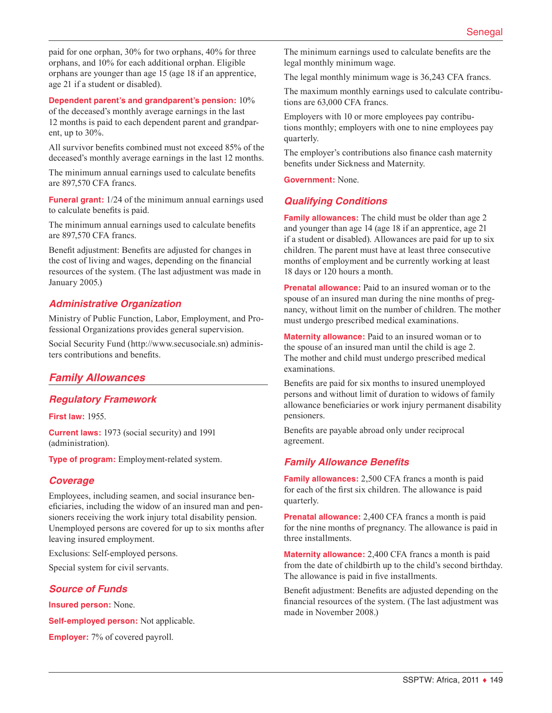paid for one orphan, 30% for two orphans, 40% for three orphans, and 10% for each additional orphan. Eligible orphans are younger than age 15 (age 18 if an apprentice, age 21 if a student or disabled).

#### **Dependent parent's and grandparent's pension:** 10%

of the deceased's monthly average earnings in the last 12 months is paid to each dependent parent and grandparent, up to 30%.

All survivor benefits combined must not exceed 85% of the deceased's monthly average earnings in the last 12 months.

The minimum annual earnings used to calculate benefits are 897,570 CFA francs.

**Funeral grant:** 1/24 of the minimum annual earnings used to calculate benefits is paid.

The minimum annual earnings used to calculate benefits are 897,570 CFA francs.

Benefit adjustment: Benefits are adjusted for changes in the cost of living and wages, depending on the financial resources of the system. (The last adjustment was made in January 2005.)

#### *Administrative Organization*

Ministry of Public Function, Labor, Employment, and Professional Organizations provides general supervision.

Social Security Fund [\(http://www.secusociale.sn](http://www.secusociale.sn)) administers contributions and benefits.

#### *Family Allowances*

#### *Regulatory Framework*

**First law:** 1955.

**Current laws:** 1973 (social security) and 1991 (administration).

**Type of program:** Employment-related system.

#### *Coverage*

Employees, including seamen, and social insurance beneficiaries, including the widow of an insured man and pensioners receiving the work injury total disability pension. Unemployed persons are covered for up to six months after leaving insured employment.

Exclusions: Self-employed persons.

Special system for civil servants.

#### *Source of Funds*

**Insured person:** None.

**Self-employed person:** Not applicable.

**Employer:** 7% of covered payroll.

The minimum earnings used to calculate benefits are the legal monthly minimum wage.

The legal monthly minimum wage is 36,243 CFA francs.

The maximum monthly earnings used to calculate contributions are 63,000 CFA francs.

Employers with 10 or more employees pay contributions monthly; employers with one to nine employees pay quarterly.

The employer's contributions also finance cash maternity benefits under Sickness and Maternity.

**Government:** None.

#### *Qualifying Conditions*

**Family allowances:** The child must be older than age 2 and younger than age 14 (age 18 if an apprentice, age 21 if a student or disabled). Allowances are paid for up to six children. The parent must have at least three consecutive months of employment and be currently working at least 18 days or 120 hours a month.

**Prenatal allowance:** Paid to an insured woman or to the spouse of an insured man during the nine months of pregnancy, without limit on the number of children. The mother must undergo prescribed medical examinations.

**Maternity allowance:** Paid to an insured woman or to the spouse of an insured man until the child is age 2. The mother and child must undergo prescribed medical examinations.

Benefits are paid for six months to insured unemployed persons and without limit of duration to widows of family allowance beneficiaries or work injury permanent disability pensioners.

Benefits are payable abroad only under reciprocal agreement.

#### *Family Allowance Benefits*

**Family allowances:** 2,500 CFA francs a month is paid for each of the first six children. The allowance is paid quarterly.

**Prenatal allowance:** 2,400 CFA francs a month is paid for the nine months of pregnancy. The allowance is paid in three installments.

**Maternity allowance:** 2,400 CFA francs a month is paid from the date of childbirth up to the child's second birthday. The allowance is paid in five installments.

Benefit adjustment: Benefits are adjusted depending on the financial resources of the system. (The last adjustment was made in November 2008.)